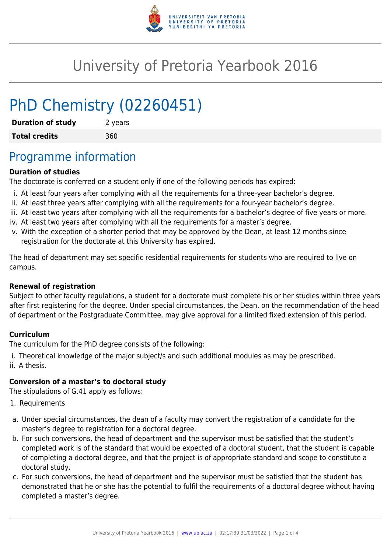

# University of Pretoria Yearbook 2016

# PhD Chemistry (02260451)

| <b>Duration of study</b> | 2 years |
|--------------------------|---------|
| <b>Total credits</b>     | 360     |

# Programme information

### **Duration of studies**

The doctorate is conferred on a student only if one of the following periods has expired:

- i. At least four years after complying with all the requirements for a three-year bachelor's degree.
- ii. At least three years after complying with all the requirements for a four-year bachelor's degree.
- iii. At least two years after complying with all the requirements for a bachelor's degree of five years or more.
- iv. At least two years after complying with all the requirements for a master's degree.
- v. With the exception of a shorter period that may be approved by the Dean, at least 12 months since registration for the doctorate at this University has expired.

The head of department may set specific residential requirements for students who are required to live on campus.

#### **Renewal of registration**

Subject to other faculty regulations, a student for a doctorate must complete his or her studies within three years after first registering for the degree. Under special circumstances, the Dean, on the recommendation of the head of department or the Postgraduate Committee, may give approval for a limited fixed extension of this period.

#### **Curriculum**

The curriculum for the PhD degree consists of the following:

i. Theoretical knowledge of the major subject/s and such additional modules as may be prescribed. ii. A thesis.

#### **Conversion of a master's to doctoral study**

The stipulations of G.41 apply as follows:

- 1. Requirements
- a. Under special circumstances, the dean of a faculty may convert the registration of a candidate for the master's degree to registration for a doctoral degree.
- b. For such conversions, the head of department and the supervisor must be satisfied that the student's completed work is of the standard that would be expected of a doctoral student, that the student is capable of completing a doctoral degree, and that the project is of appropriate standard and scope to constitute a doctoral study.
- c. For such conversions, the head of department and the supervisor must be satisfied that the student has demonstrated that he or she has the potential to fulfil the requirements of a doctoral degree without having completed a master's degree.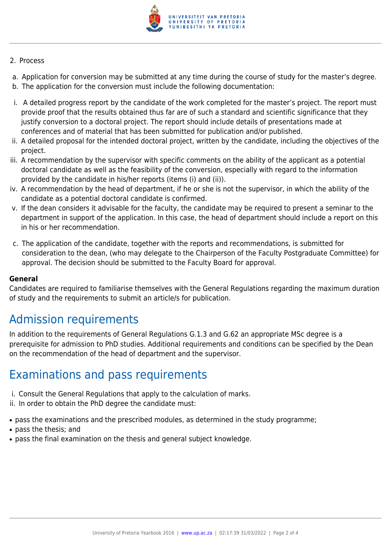

#### 2. Process

- a. Application for conversion may be submitted at any time during the course of study for the master's degree.
- b. The application for the conversion must include the following documentation:
- i. A detailed progress report by the candidate of the work completed for the master's project. The report must provide proof that the results obtained thus far are of such a standard and scientific significance that they justify conversion to a doctoral project. The report should include details of presentations made at conferences and of material that has been submitted for publication and/or published.
- ii. A detailed proposal for the intended doctoral project, written by the candidate, including the objectives of the project.
- iii. A recommendation by the supervisor with specific comments on the ability of the applicant as a potential doctoral candidate as well as the feasibility of the conversion, especially with regard to the information provided by the candidate in his/her reports (items (i) and (ii)).
- iv. A recommendation by the head of department, if he or she is not the supervisor, in which the ability of the candidate as a potential doctoral candidate is confirmed.
- v. If the dean considers it advisable for the faculty, the candidate may be required to present a seminar to the department in support of the application. In this case, the head of department should include a report on this in his or her recommendation.
- c. The application of the candidate, together with the reports and recommendations, is submitted for consideration to the dean, (who may delegate to the Chairperson of the Faculty Postgraduate Committee) for approval. The decision should be submitted to the Faculty Board for approval.

#### **General**

Candidates are required to familiarise themselves with the General Regulations regarding the maximum duration of study and the requirements to submit an article/s for publication.

## Admission requirements

In addition to the requirements of General Regulations G.1.3 and G.62 an appropriate MSc degree is a prerequisite for admission to PhD studies. Additional requirements and conditions can be specified by the Dean on the recommendation of the head of department and the supervisor.

## Examinations and pass requirements

- i. Consult the General Regulations that apply to the calculation of marks.
- ii. In order to obtain the PhD degree the candidate must:
- pass the examinations and the prescribed modules, as determined in the study programme;
- pass the thesis: and
- pass the final examination on the thesis and general subject knowledge.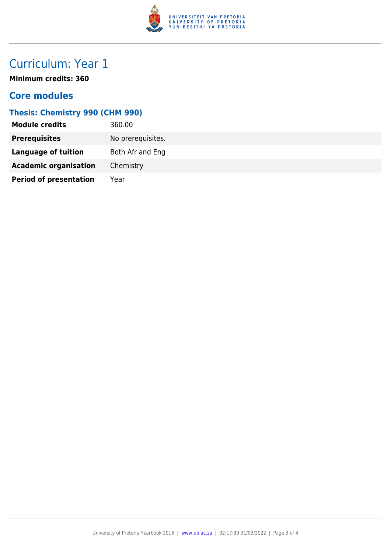

# Curriculum: Year 1

**Minimum credits: 360**

### **Core modules**

### **Thesis: Chemistry 990 (CHM 990)**

| <b>Module credits</b>         | 360.00            |
|-------------------------------|-------------------|
| <b>Prerequisites</b>          | No prerequisites. |
| Language of tuition           | Both Afr and Eng  |
| <b>Academic organisation</b>  | Chemistry         |
| <b>Period of presentation</b> | Year              |